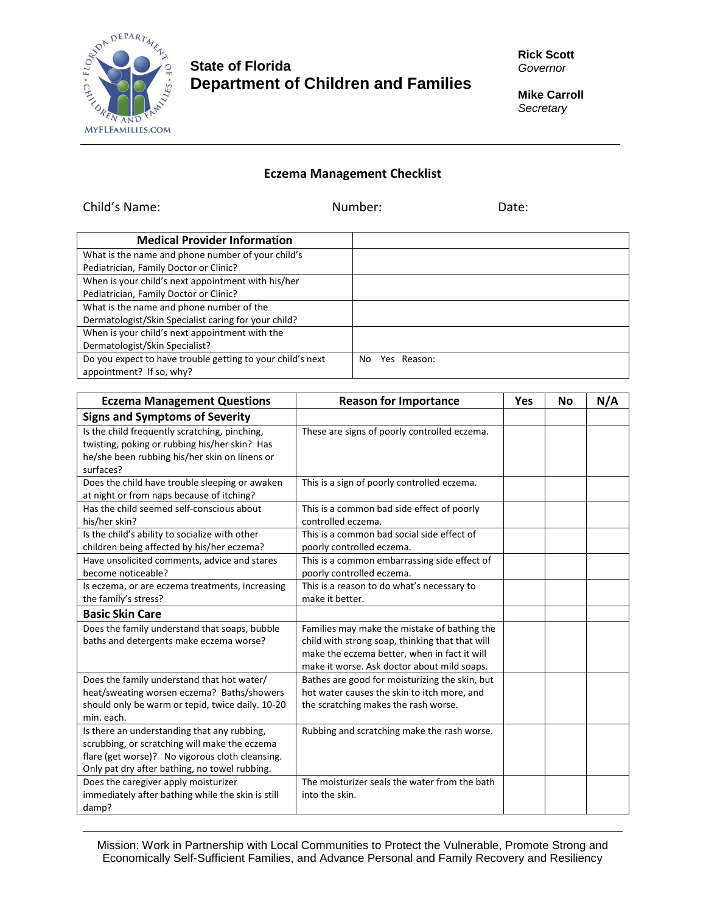

## **State of Florida Department of Children and Families**

**Rick Scott** *Governor*

**Mike Carroll** *Secretary*

## **Eczema Management Checklist**

Child's Name: Number: Date:

| <b>Medical Provider Information</b>                        |                    |
|------------------------------------------------------------|--------------------|
| What is the name and phone number of your child's          |                    |
| Pediatrician, Family Doctor or Clinic?                     |                    |
| When is your child's next appointment with his/her         |                    |
| Pediatrician, Family Doctor or Clinic?                     |                    |
| What is the name and phone number of the                   |                    |
| Dermatologist/Skin Specialist caring for your child?       |                    |
| When is your child's next appointment with the             |                    |
| Dermatologist/Skin Specialist?                             |                    |
| Do you expect to have trouble getting to your child's next | Yes Reason:<br>No. |
| appointment? If so, why?                                   |                    |

| <b>Eczema Management Questions</b>                                                                                                                                                               | <b>Reason for Importance</b>                                                                                                                                                                   | <b>Yes</b> | No | N/A |
|--------------------------------------------------------------------------------------------------------------------------------------------------------------------------------------------------|------------------------------------------------------------------------------------------------------------------------------------------------------------------------------------------------|------------|----|-----|
| <b>Signs and Symptoms of Severity</b>                                                                                                                                                            |                                                                                                                                                                                                |            |    |     |
| Is the child frequently scratching, pinching,<br>twisting, poking or rubbing his/her skin? Has<br>he/she been rubbing his/her skin on linens or<br>surfaces?                                     | These are signs of poorly controlled eczema.                                                                                                                                                   |            |    |     |
| Does the child have trouble sleeping or awaken<br>at night or from naps because of itching?                                                                                                      | This is a sign of poorly controlled eczema.                                                                                                                                                    |            |    |     |
| Has the child seemed self-conscious about<br>his/her skin?                                                                                                                                       | This is a common bad side effect of poorly<br>controlled eczema.                                                                                                                               |            |    |     |
| Is the child's ability to socialize with other<br>children being affected by his/her eczema?                                                                                                     | This is a common bad social side effect of<br>poorly controlled eczema.                                                                                                                        |            |    |     |
| Have unsolicited comments, advice and stares<br>become noticeable?                                                                                                                               | This is a common embarrassing side effect of<br>poorly controlled eczema.                                                                                                                      |            |    |     |
| Is eczema, or are eczema treatments, increasing<br>the family's stress?                                                                                                                          | This is a reason to do what's necessary to<br>make it better.                                                                                                                                  |            |    |     |
| <b>Basic Skin Care</b>                                                                                                                                                                           |                                                                                                                                                                                                |            |    |     |
| Does the family understand that soaps, bubble<br>baths and detergents make eczema worse?                                                                                                         | Families may make the mistake of bathing the<br>child with strong soap, thinking that that will<br>make the eczema better, when in fact it will<br>make it worse. Ask doctor about mild soaps. |            |    |     |
| Does the family understand that hot water/<br>heat/sweating worsen eczema? Baths/showers<br>should only be warm or tepid, twice daily. 10-20<br>min. each.                                       | Bathes are good for moisturizing the skin, but<br>hot water causes the skin to itch more, and<br>the scratching makes the rash worse.                                                          |            |    |     |
| Is there an understanding that any rubbing,<br>scrubbing, or scratching will make the eczema<br>flare (get worse)? No vigorous cloth cleansing.<br>Only pat dry after bathing, no towel rubbing. | Rubbing and scratching make the rash worse.                                                                                                                                                    |            |    |     |
| Does the caregiver apply moisturizer<br>immediately after bathing while the skin is still<br>damp?                                                                                               | The moisturizer seals the water from the bath<br>into the skin.                                                                                                                                |            |    |     |

Mission: Work in Partnership with Local Communities to Protect the Vulnerable, Promote Strong and Economically Self-Sufficient Families, and Advance Personal and Family Recovery and Resiliency